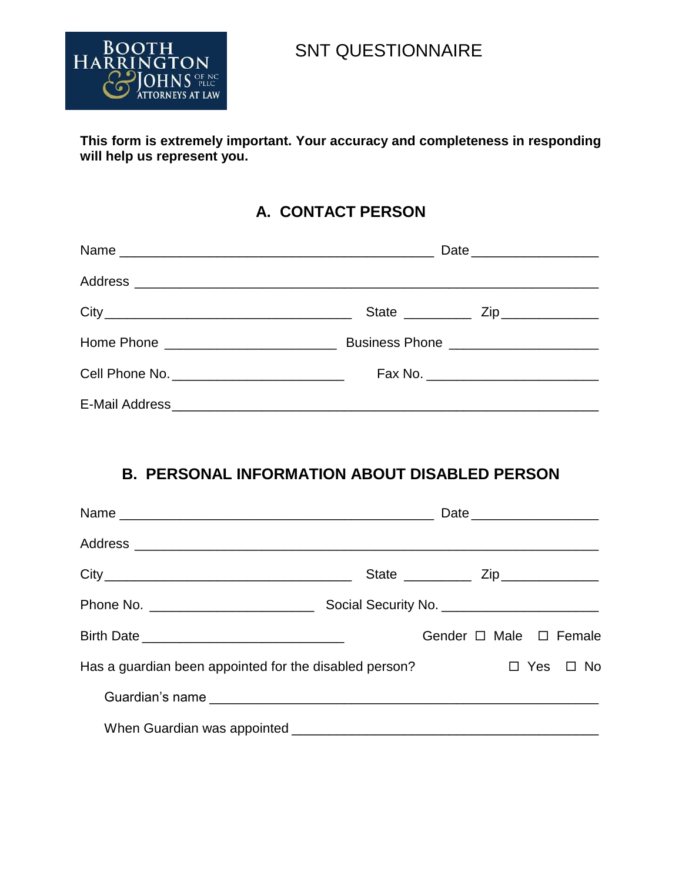

# SNT QUESTIONNAIRE

#### **This form is extremely important. Your accuracy and completeness in responding will help us represent you.**

### **A. CONTACT PERSON**

|                                              | Date _________________________         |  |  |
|----------------------------------------------|----------------------------------------|--|--|
|                                              |                                        |  |  |
|                                              |                                        |  |  |
| Home Phone ____________________________      | Business Phone _______________________ |  |  |
| Cell Phone No. _____________________________ |                                        |  |  |
|                                              |                                        |  |  |

## **B. PERSONAL INFORMATION ABOUT DISABLED PERSON**

|                                                        |  |                        | Date ________________________ |  |  |  |  |
|--------------------------------------------------------|--|------------------------|-------------------------------|--|--|--|--|
|                                                        |  |                        |                               |  |  |  |  |
|                                                        |  |                        |                               |  |  |  |  |
|                                                        |  |                        |                               |  |  |  |  |
|                                                        |  | Gender □ Male □ Female |                               |  |  |  |  |
| Has a guardian been appointed for the disabled person? |  | D Yes □ No             |                               |  |  |  |  |
|                                                        |  |                        |                               |  |  |  |  |
|                                                        |  |                        |                               |  |  |  |  |